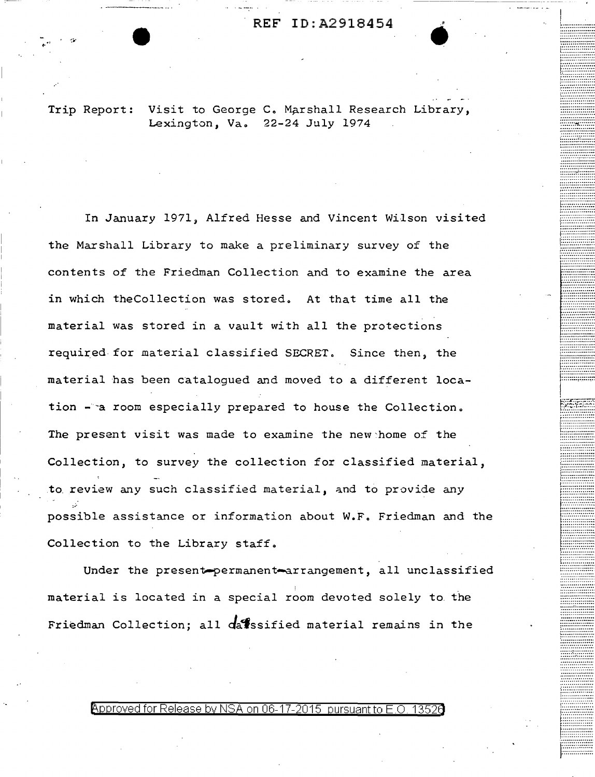Trip Report: Visit to George C. Marshall Research Library, Lexington, Va. 22-24 July 1974

In January 1971, Alfred Hesse and Vincent Wilson visited the Marshall Library to make a preliminary survey of the contents of the Friedman Collection and to examine the area in which the Collection was stored. At that time all the material was stored in a vault with all the protections required for material classified SECRET. Since then, the material has been catalogued and moved to a different location - a room especially prepared to house the Collection. The present visit was made to examine the new home of the Collection, to survey the collection for classified material, to review any such classified material, and to provide any possible assistance or information about W.F. Friedman and the Collection to the Library staff.

Under the present-permanent-arrangement, all unclassified material is located in a special room devoted solely to the Friedman Collection; all datssified material remains in the

Approved for Release by NSA on 06-17-2015 pursuant to E.O. 13526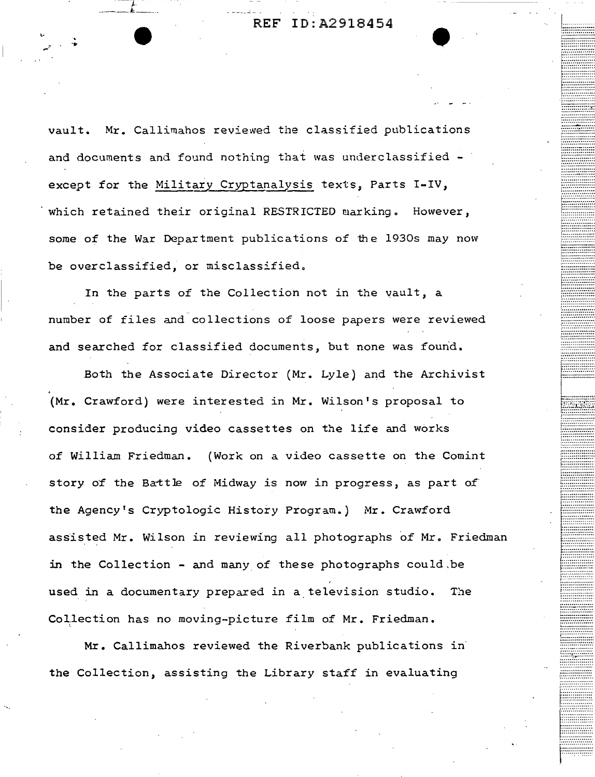ID:A2918454 REF

vault. Mr. Callimahos reviewed the classified publications and documents and found nothing that was underclassified except for the Military Cryptanalysis texts, Parts I-IV, which retained their original RESTRICTED marking. However, some of the War Department publications of the 1930s may now be overclassified, or misclassified.

In the parts of the Collection not in the vault, a number of files and collections of loose papers were reviewed and searched for classified documents, but none was found.

Both the Associate Director (Mr. Lyle) and the Archivist (Mr. Crawford) were interested in Mr. Wilson's proposal to consider producing video cassettes on the life and works of William Friedman. (Work on a video cassette on the Comint story of the Battle of Midway is now in progress, as part of the Agency's Cryptologic History Program.) Mr. Crawford assisted Mr. Wilson in reviewing all photographs of Mr. Friedman in the Collection - and many of these photographs could be used in a documentary prepared in a television studio. The Collection has no moving-picture film of Mr. Friedman.

Mr. Callimahos reviewed the Riverbank publications in the Collection, assisting the Library staff in evaluating